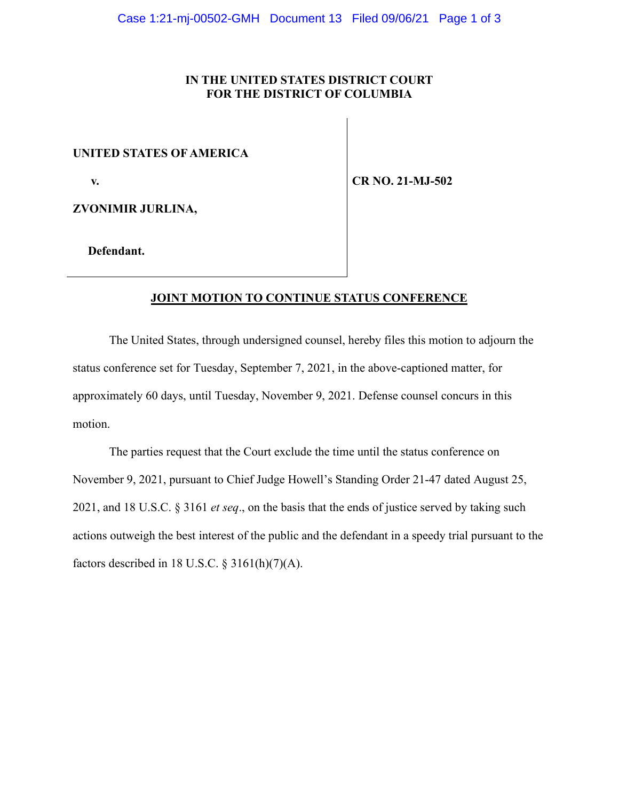## **IN THE UNITED STATES DISTRICT COURT FOR THE DISTRICT OF COLUMBIA**

## **UNITED STATES OF AMERICA**

 **v.**

**CR NO. 21-MJ-502**

**ZVONIMIR JURLINA,**

 **Defendant.**

## **JOINT MOTION TO CONTINUE STATUS CONFERENCE**

The United States, through undersigned counsel, hereby files this motion to adjourn the status conference set for Tuesday, September 7, 2021, in the above-captioned matter, for approximately 60 days, until Tuesday, November 9, 2021. Defense counsel concurs in this motion.

The parties request that the Court exclude the time until the status conference on November 9, 2021, pursuant to Chief Judge Howell's Standing Order 21-47 dated August 25, 2021, and 18 U.S.C. § 3161 *et seq*., on the basis that the ends of justice served by taking such actions outweigh the best interest of the public and the defendant in a speedy trial pursuant to the factors described in 18 U.S.C.  $\S$  3161(h)(7)(A).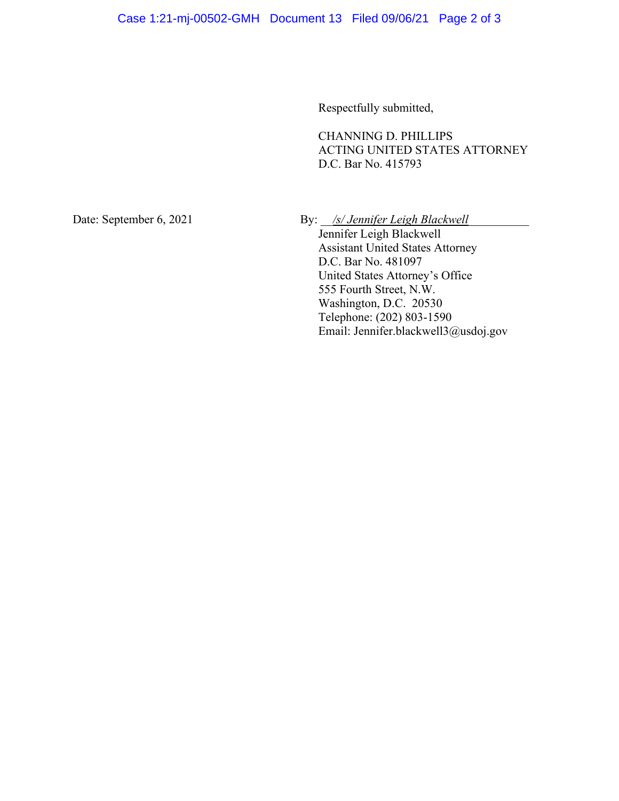Respectfully submitted,

CHANNING D. PHILLIPS ACTING UNITED STATES ATTORNEY D.C. Bar No. 415793

Date: September 6, 2021 By: *\_\_/s/ Jennifer Leigh Blackwell* 

Jennifer Leigh Blackwell Assistant United States Attorney D.C. Bar No. 481097 United States Attorney's Office 555 Fourth Street, N.W. Washington, D.C. 20530 Telephone: (202) 803-1590 Email: Jennifer.blackwell3@usdoj.gov